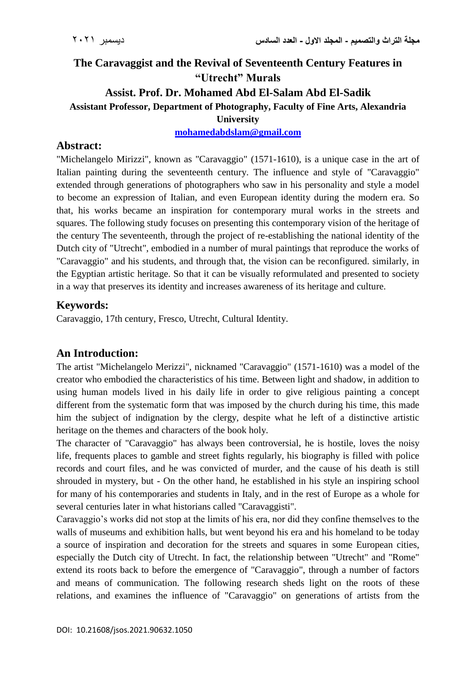# **The Caravaggist and the Revival of Seventeenth Century Features in "Utrecht" Murals Assist. Prof. Dr. Mohamed Abd El-Salam Abd El-Sadik Assistant Professor, Department of Photography, Faculty of Fine Arts, Alexandria University**

**[mohamedabdslam@gmail.com](mailto:mohamedabdslam@gmail.com)**

# **Abstract:**

"Michelangelo Mirizzi", known as "Caravaggio" (1571-1610), is a unique case in the art of Italian painting during the seventeenth century. The influence and style of "Caravaggio" extended through generations of photographers who saw in his personality and style a model to become an expression of Italian, and even European identity during the modern era. So that, his works became an inspiration for contemporary mural works in the streets and squares. The following study focuses on presenting this contemporary vision of the heritage of the century The seventeenth, through the project of re-establishing the national identity of the Dutch city of "Utrecht", embodied in a number of mural paintings that reproduce the works of "Caravaggio" and his students, and through that, the vision can be reconfigured. similarly, in the Egyptian artistic heritage. So that it can be visually reformulated and presented to society in a way that preserves its identity and increases awareness of its heritage and culture.

## **Keywords:**

Caravaggio, 17th century, Fresco, Utrecht, Cultural Identity.

## **An Introduction:**

The artist "Michelangelo Merizzi", nicknamed "Caravaggio" (1571-1610) was a model of the creator who embodied the characteristics of his time. Between light and shadow, in addition to using human models lived in his daily life in order to give religious painting a concept different from the systematic form that was imposed by the church during his time, this made him the subject of indignation by the clergy, despite what he left of a distinctive artistic heritage on the themes and characters of the book holy.

The character of "Caravaggio" has always been controversial, he is hostile, loves the noisy life, frequents places to gamble and street fights regularly, his biography is filled with police records and court files, and he was convicted of murder, and the cause of his death is still shrouded in mystery, but - On the other hand, he established in his style an inspiring school for many of his contemporaries and students in Italy, and in the rest of Europe as a whole for several centuries later in what historians called "Caravaggisti".

Caravaggio's works did not stop at the limits of his era, nor did they confine themselves to the walls of museums and exhibition halls, but went beyond his era and his homeland to be today a source of inspiration and decoration for the streets and squares in some European cities, especially the Dutch city of Utrecht. In fact, the relationship between "Utrecht" and "Rome" extend its roots back to before the emergence of "Caravaggio", through a number of factors and means of communication. The following research sheds light on the roots of these relations, and examines the influence of "Caravaggio" on generations of artists from the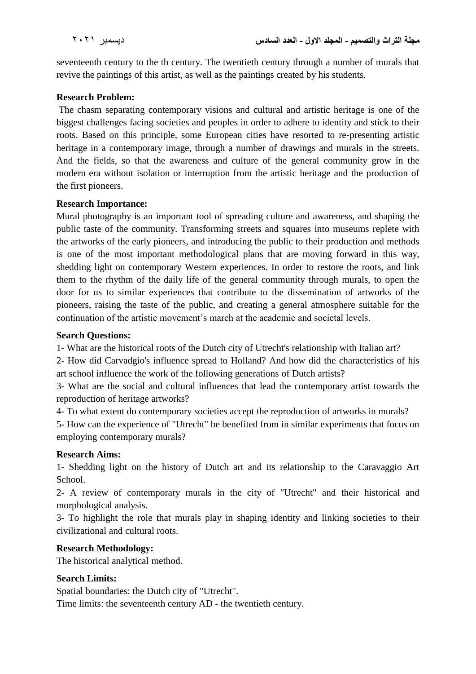seventeenth century to the th century. The twentieth century through a number of murals that revive the paintings of this artist, as well as the paintings created by his students.

#### **Research Problem:**

The chasm separating contemporary visions and cultural and artistic heritage is one of the biggest challenges facing societies and peoples in order to adhere to identity and stick to their roots. Based on this principle, some European cities have resorted to re-presenting artistic heritage in a contemporary image, through a number of drawings and murals in the streets. And the fields, so that the awareness and culture of the general community grow in the modern era without isolation or interruption from the artistic heritage and the production of the first pioneers.

#### **Research Importance:**

Mural photography is an important tool of spreading culture and awareness, and shaping the public taste of the community. Transforming streets and squares into museums replete with the artworks of the early pioneers, and introducing the public to their production and methods is one of the most important methodological plans that are moving forward in this way, shedding light on contemporary Western experiences. In order to restore the roots, and link them to the rhythm of the daily life of the general community through murals, to open the door for us to similar experiences that contribute to the dissemination of artworks of the pioneers, raising the taste of the public, and creating a general atmosphere suitable for the continuation of the artistic movement's march at the academic and societal levels.

#### **Search Questions:**

1- What are the historical roots of the Dutch city of Utrecht's relationship with Italian art?

2- How did Carvadgio's influence spread to Holland? And how did the characteristics of his art school influence the work of the following generations of Dutch artists?

3- What are the social and cultural influences that lead the contemporary artist towards the reproduction of heritage artworks?

4- To what extent do contemporary societies accept the reproduction of artworks in murals?

5- How can the experience of "Utrecht" be benefited from in similar experiments that focus on employing contemporary murals?

## **Research Aims:**

1- Shedding light on the history of Dutch art and its relationship to the Caravaggio Art School.

2- A review of contemporary murals in the city of "Utrecht" and their historical and morphological analysis.

3- To highlight the role that murals play in shaping identity and linking societies to their civilizational and cultural roots.

## **Research Methodology:**

The historical analytical method.

## **Search Limits:**

Spatial boundaries: the Dutch city of "Utrecht".

Time limits: the seventeenth century AD - the twentieth century.